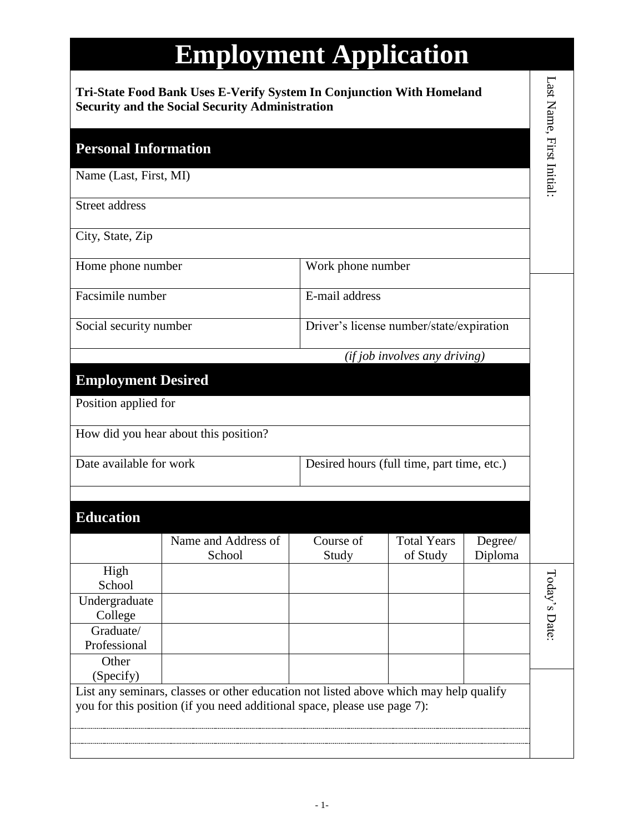|                                                                                                                                 | <b>Employment Application</b>                                                                                                                                     |                    |                                            |                    |                          |
|---------------------------------------------------------------------------------------------------------------------------------|-------------------------------------------------------------------------------------------------------------------------------------------------------------------|--------------------|--------------------------------------------|--------------------|--------------------------|
| Tri-State Food Bank Uses E-Verify System In Conjunction With Homeland<br><b>Security and the Social Security Administration</b> |                                                                                                                                                                   |                    |                                            |                    | Last Name, First Initial |
| <b>Personal Information</b>                                                                                                     |                                                                                                                                                                   |                    |                                            |                    |                          |
| Name (Last, First, MI)                                                                                                          |                                                                                                                                                                   |                    |                                            |                    |                          |
| <b>Street address</b>                                                                                                           |                                                                                                                                                                   |                    |                                            |                    |                          |
| City, State, Zip                                                                                                                |                                                                                                                                                                   |                    |                                            |                    |                          |
| Home phone number                                                                                                               |                                                                                                                                                                   | Work phone number  |                                            |                    |                          |
| Facsimile number                                                                                                                |                                                                                                                                                                   | E-mail address     |                                            |                    |                          |
| Social security number                                                                                                          |                                                                                                                                                                   |                    | Driver's license number/state/expiration   |                    |                          |
|                                                                                                                                 |                                                                                                                                                                   |                    | $(ifjob$ involves any driving)             |                    |                          |
| <b>Employment Desired</b>                                                                                                       |                                                                                                                                                                   |                    |                                            |                    |                          |
| Position applied for                                                                                                            |                                                                                                                                                                   |                    |                                            |                    |                          |
|                                                                                                                                 | How did you hear about this position?                                                                                                                             |                    |                                            |                    |                          |
| Date available for work                                                                                                         |                                                                                                                                                                   |                    | Desired hours (full time, part time, etc.) |                    |                          |
|                                                                                                                                 |                                                                                                                                                                   |                    |                                            |                    |                          |
| <b>Education</b>                                                                                                                |                                                                                                                                                                   |                    |                                            |                    |                          |
|                                                                                                                                 | Name and Address of<br>School                                                                                                                                     | Course of<br>Study | <b>Total Years</b><br>of Study             | Degree/<br>Diploma |                          |
| High<br>School                                                                                                                  |                                                                                                                                                                   |                    |                                            |                    |                          |
| Undergraduate                                                                                                                   |                                                                                                                                                                   |                    |                                            |                    | Loday's Date:            |
| College<br>Graduate/                                                                                                            |                                                                                                                                                                   |                    |                                            |                    |                          |
| Professional                                                                                                                    |                                                                                                                                                                   |                    |                                            |                    |                          |
| Other                                                                                                                           |                                                                                                                                                                   |                    |                                            |                    |                          |
| (Specify)                                                                                                                       |                                                                                                                                                                   |                    |                                            |                    |                          |
|                                                                                                                                 | List any seminars, classes or other education not listed above which may help qualify<br>you for this position (if you need additional space, please use page 7): |                    |                                            |                    |                          |
|                                                                                                                                 |                                                                                                                                                                   |                    |                                            |                    |                          |
|                                                                                                                                 |                                                                                                                                                                   |                    |                                            |                    |                          |
|                                                                                                                                 |                                                                                                                                                                   |                    |                                            |                    |                          |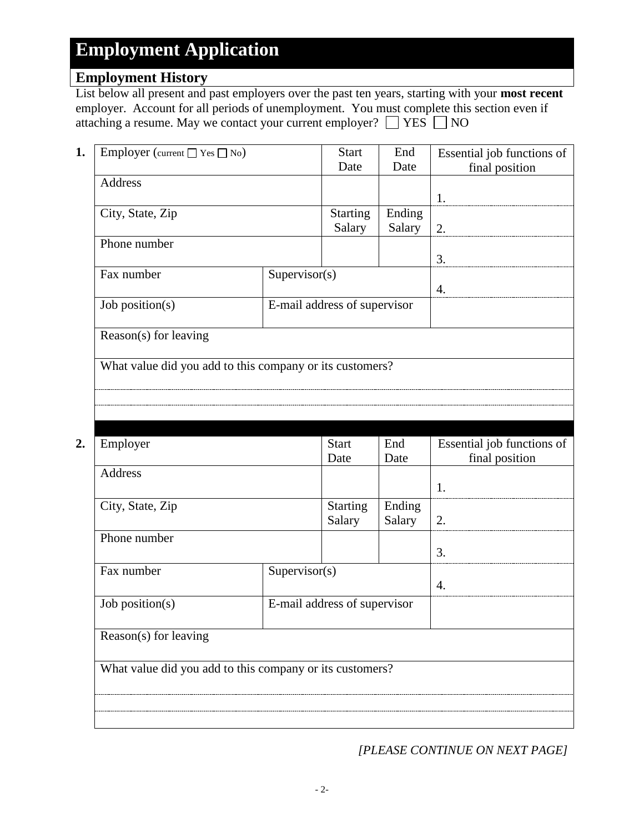### **Employment History**

List below all present and past employers over the past ten years, starting with your **most recent** employer. Account for all periods of unemployment. You must complete this section even if attaching a resume. May we contact your current employer?  $\Box$  YES  $\Box$  NO

| Employer (current $\Box$ Yes $\Box$ No) |               | <b>Start</b>                 | End    | Essential job functions of |
|-----------------------------------------|---------------|------------------------------|--------|----------------------------|
|                                         |               | Date                         | Date   | final position             |
| Address                                 |               |                              |        |                            |
|                                         |               |                              |        | 1.                         |
| City, State, Zip                        |               | <b>Starting</b>              | Ending |                            |
|                                         |               | Salary                       | Salary | 2.                         |
| Phone number                            |               |                              |        |                            |
|                                         |               |                              |        | 3.                         |
| Fax number                              | Supervisor(s) |                              |        |                            |
|                                         |               |                              |        | $\overline{4}$             |
| Job position(s)                         |               | E-mail address of supervisor |        |                            |
|                                         |               |                              |        |                            |
| Reason(s) for leaving                   |               |                              |        |                            |
|                                         |               |                              |        |                            |

What value did you add to this company or its customers?

| Employer                                                 |               | <b>Start</b>                 | End    | Essential job functions of |
|----------------------------------------------------------|---------------|------------------------------|--------|----------------------------|
|                                                          |               | Date                         | Date   | final position             |
| Address                                                  |               |                              |        |                            |
|                                                          |               |                              |        | 1.                         |
| City, State, Zip                                         |               | <b>Starting</b>              | Ending |                            |
|                                                          |               | Salary                       | Salary | 2.                         |
| Phone number                                             |               |                              |        |                            |
|                                                          |               |                              |        | 3.                         |
| Fax number                                               | Supervisor(s) |                              |        |                            |
|                                                          |               |                              |        | 4.                         |
| Job position(s)                                          |               | E-mail address of supervisor |        |                            |
| Reason(s) for leaving                                    |               |                              |        |                            |
|                                                          |               |                              |        |                            |
| What value did you add to this company or its customers? |               |                              |        |                            |
|                                                          |               |                              |        |                            |
|                                                          |               |                              |        |                            |
|                                                          |               |                              |        |                            |

*[PLEASE CONTINUE ON NEXT PAGE]*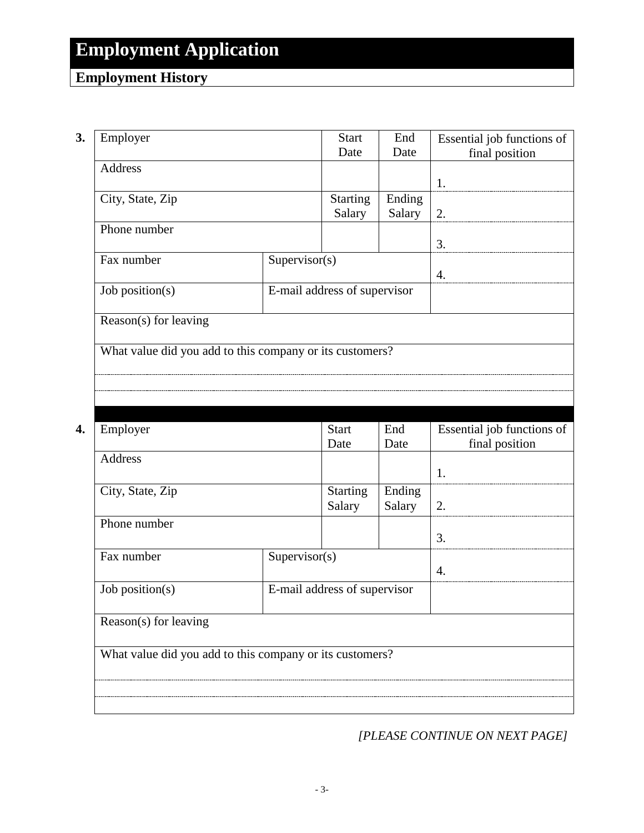### **Employment History**

**3.** Employer Start Date End Date Essential job functions of final position Address 1. City, State, Zip Starting Salary Ending Salary  $\vert$  2. Phone number 3. Fax number Supervisor(s) 4. Job position(s) E-mail address of supervisor Reason(s) for leaving What value did you add to this company or its customers? **4.** Employer Start Date End Date Essential job functions of final position Address 1. City, State, Zip Starting Salary Ending Salary  $\vert$  2. Phone number 3. Fax number Supervisor(s) 4. Job position(s) E-mail address of supervisor Reason(s) for leaving What value did you add to this company or its customers?

*[PLEASE CONTINUE ON NEXT PAGE]*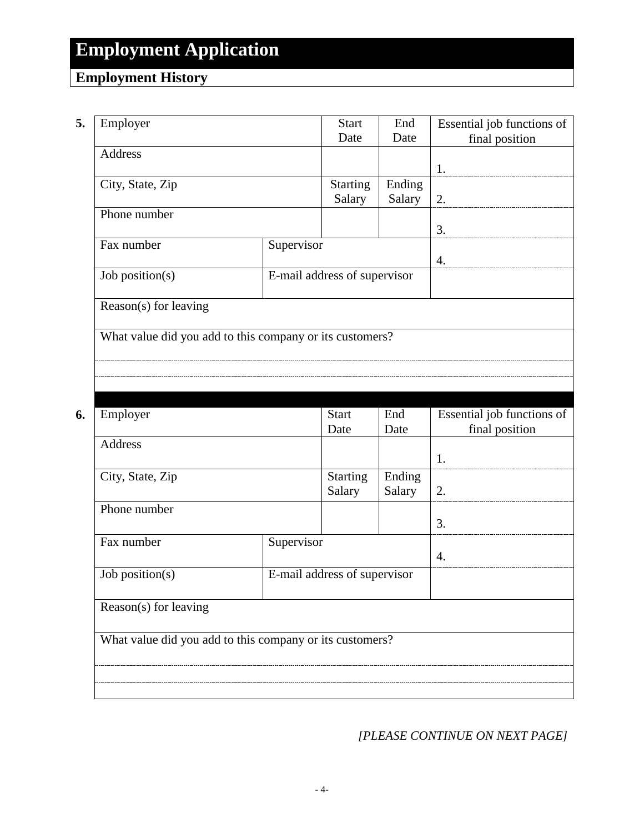## **Employment History**

|                                                          |                          | <b>Start</b>                 | End              | Essential job functions of |
|----------------------------------------------------------|--------------------------|------------------------------|------------------|----------------------------|
| Employer                                                 |                          | Date                         | Date             | final position             |
| <b>Address</b>                                           |                          |                              |                  |                            |
|                                                          |                          |                              |                  | 1.                         |
| City, State, Zip                                         |                          | <b>Starting</b>              | Ending           |                            |
|                                                          |                          | Salary                       | Salary           | 2.                         |
| Phone number                                             |                          |                              |                  |                            |
|                                                          |                          |                              |                  | 3.                         |
|                                                          | Supervisor<br>Fax number |                              |                  |                            |
|                                                          |                          |                              |                  | 4.                         |
| Job position(s)                                          |                          | E-mail address of supervisor |                  |                            |
|                                                          |                          |                              |                  |                            |
| Reason(s) for leaving                                    |                          |                              |                  |                            |
|                                                          |                          |                              |                  |                            |
|                                                          |                          |                              |                  |                            |
| What value did you add to this company or its customers? |                          |                              |                  |                            |
|                                                          |                          |                              |                  |                            |
|                                                          |                          |                              |                  |                            |
|                                                          |                          |                              |                  |                            |
|                                                          |                          |                              |                  |                            |
| Employer                                                 |                          | <b>Start</b><br>Date         | End<br>Date      | Essential job functions of |
| <b>Address</b>                                           |                          |                              |                  | final position             |
|                                                          |                          |                              |                  | 1.                         |
|                                                          |                          |                              |                  |                            |
| City, State, Zip                                         |                          | <b>Starting</b><br>Salary    | Ending<br>Salary | 2.                         |
| Phone number                                             |                          |                              |                  |                            |
|                                                          |                          |                              |                  | 3.                         |
| Fax number                                               | Supervisor               |                              |                  |                            |

Reason(s) for leaving

What value did you add to this company or its customers?

Job position(s) E-mail address of supervisor

*[PLEASE CONTINUE ON NEXT PAGE]*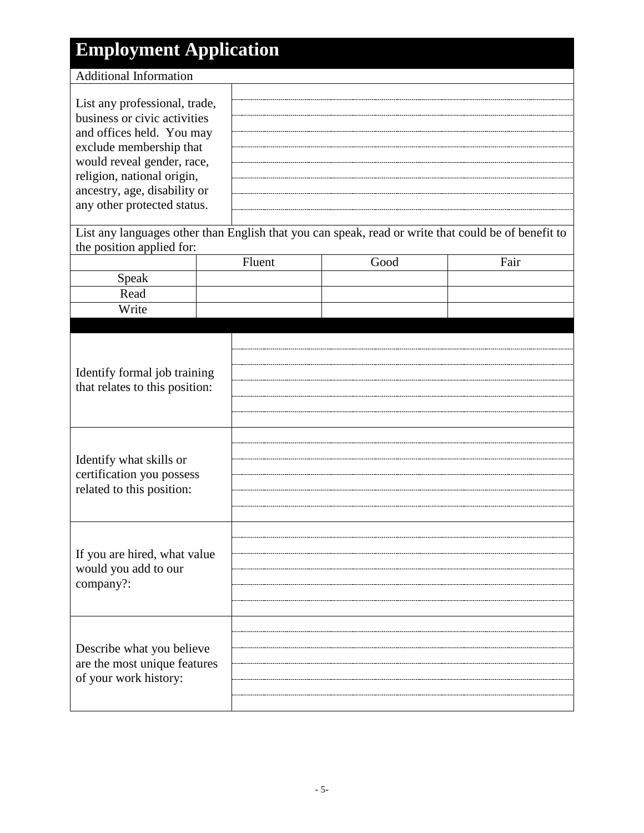| <b>Employment Application</b>                                     |  |        |      |                                                                                                     |
|-------------------------------------------------------------------|--|--------|------|-----------------------------------------------------------------------------------------------------|
| <b>Additional Information</b>                                     |  |        |      |                                                                                                     |
|                                                                   |  |        |      |                                                                                                     |
| List any professional, trade,                                     |  |        |      |                                                                                                     |
| business or civic activities                                      |  |        |      |                                                                                                     |
| and offices held. You may                                         |  |        |      |                                                                                                     |
| exclude membership that<br>would reveal gender, race,             |  |        |      |                                                                                                     |
| religion, national origin,                                        |  |        |      |                                                                                                     |
| ancestry, age, disability or                                      |  |        |      |                                                                                                     |
| any other protected status.                                       |  |        |      |                                                                                                     |
|                                                                   |  |        |      |                                                                                                     |
|                                                                   |  |        |      | List any languages other than English that you can speak, read or write that could be of benefit to |
| the position applied for:                                         |  |        | Good | Fair                                                                                                |
|                                                                   |  | Fluent |      |                                                                                                     |
| Speak<br>Read                                                     |  |        |      |                                                                                                     |
| Write                                                             |  |        |      |                                                                                                     |
|                                                                   |  |        |      |                                                                                                     |
|                                                                   |  |        |      |                                                                                                     |
|                                                                   |  |        |      |                                                                                                     |
| Identify formal job training                                      |  |        |      |                                                                                                     |
| that relates to this position:                                    |  |        |      |                                                                                                     |
|                                                                   |  |        |      |                                                                                                     |
|                                                                   |  |        |      |                                                                                                     |
|                                                                   |  |        |      |                                                                                                     |
|                                                                   |  |        |      |                                                                                                     |
| Identify what skills or                                           |  |        |      |                                                                                                     |
| certification you possess                                         |  |        |      |                                                                                                     |
| related to this position:                                         |  |        |      |                                                                                                     |
|                                                                   |  |        |      |                                                                                                     |
|                                                                   |  |        |      |                                                                                                     |
| If you are hired, what value<br>would you add to our<br>company?: |  |        |      |                                                                                                     |
|                                                                   |  |        |      |                                                                                                     |
|                                                                   |  |        |      |                                                                                                     |
|                                                                   |  |        |      |                                                                                                     |
|                                                                   |  |        |      |                                                                                                     |
|                                                                   |  |        |      |                                                                                                     |
| Describe what you believe                                         |  |        |      |                                                                                                     |
| are the most unique features                                      |  |        |      |                                                                                                     |
| of your work history:                                             |  |        |      |                                                                                                     |
|                                                                   |  |        |      |                                                                                                     |
|                                                                   |  |        |      |                                                                                                     |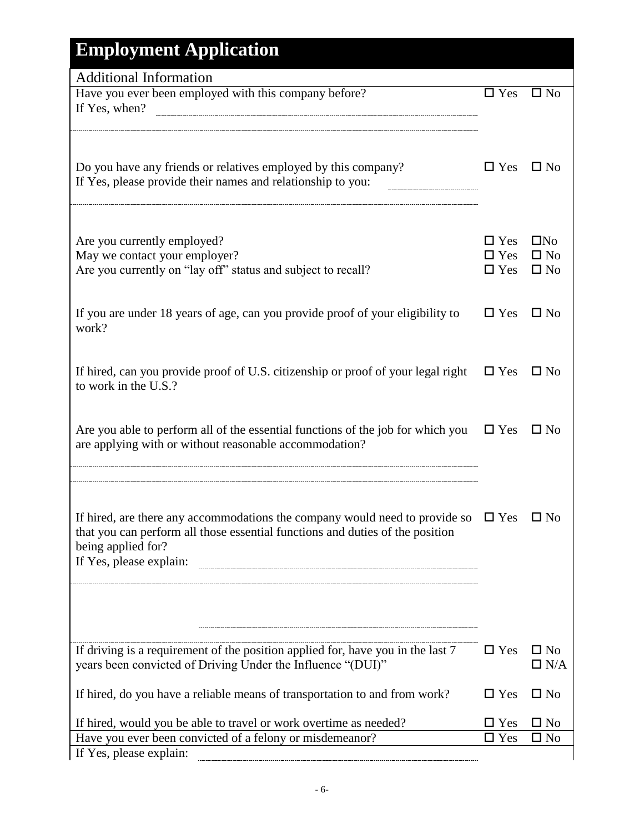| <b>Employment Application</b>                                                                                                                                                                                               |                                           |                                           |
|-----------------------------------------------------------------------------------------------------------------------------------------------------------------------------------------------------------------------------|-------------------------------------------|-------------------------------------------|
| <b>Additional Information</b>                                                                                                                                                                                               |                                           |                                           |
| Have you ever been employed with this company before?<br>If Yes, when?                                                                                                                                                      | $\Box$ Yes                                | $\square$ No                              |
| Do you have any friends or relatives employed by this company?<br>If Yes, please provide their names and relationship to you:                                                                                               | $\Box$ Yes                                | $\square$ No                              |
| Are you currently employed?<br>May we contact your employer?<br>Are you currently on "lay off" status and subject to recall?                                                                                                | $\Box$ Yes<br>$\square$ Yes<br>$\Box$ Yes | $\Box$ No<br>$\square$ No<br>$\square$ No |
| If you are under 18 years of age, can you provide proof of your eligibility to<br>work?                                                                                                                                     | $\Box$ Yes                                | $\Box$ No                                 |
| If hired, can you provide proof of U.S. citizenship or proof of your legal right<br>to work in the U.S.?                                                                                                                    | $\Box$ Yes                                | $\square$ No                              |
| Are you able to perform all of the essential functions of the job for which you<br>are applying with or without reasonable accommodation?                                                                                   | $\Box$ Yes                                | $\square$ No                              |
| If hired, are there any accommodations the company would need to provide so $\square$ Yes<br>that you can perform all those essential functions and duties of the position<br>being applied for?<br>If Yes, please explain: |                                           | $\square$ No                              |
| If driving is a requirement of the position applied for, have you in the last 7<br>years been convicted of Driving Under the Influence "(DUI)"                                                                              | $\Box$ Yes                                | $\square$ No<br>$\Box$ N/A                |
| If hired, do you have a reliable means of transportation to and from work?                                                                                                                                                  | $\Box$ Yes                                | $\square$ No                              |
| If hired, would you be able to travel or work overtime as needed?                                                                                                                                                           | $\Box$ Yes                                | $\square$ No                              |
| Have you ever been convicted of a felony or misdemeanor?<br>If Yes, please explain:                                                                                                                                         | $\Box$ Yes                                | $\square$ No                              |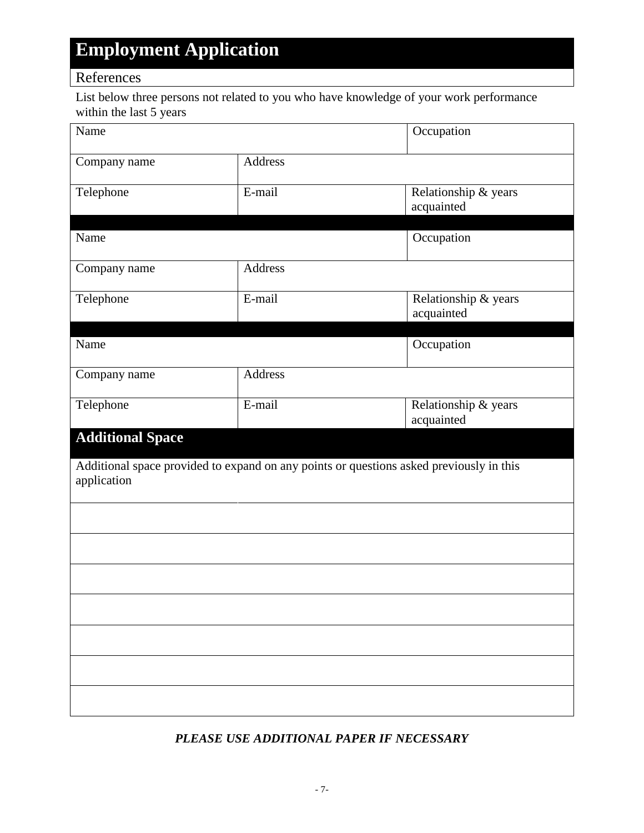### References

List below three persons not related to you who have knowledge of your work performance within the last 5 years

| Name                    |                                                                                         | Occupation                         |
|-------------------------|-----------------------------------------------------------------------------------------|------------------------------------|
| Company name            | Address                                                                                 |                                    |
| Telephone               | E-mail                                                                                  | Relationship & years<br>acquainted |
| Name                    |                                                                                         | Occupation                         |
| Company name            | Address                                                                                 |                                    |
| Telephone               | E-mail                                                                                  | Relationship & years<br>acquainted |
| Name                    |                                                                                         | Occupation                         |
| Company name            | Address                                                                                 |                                    |
| Telephone               | E-mail                                                                                  | Relationship & years<br>acquainted |
| <b>Additional Space</b> |                                                                                         |                                    |
| application             | Additional space provided to expand on any points or questions asked previously in this |                                    |
|                         |                                                                                         |                                    |
|                         |                                                                                         |                                    |
|                         |                                                                                         |                                    |
|                         |                                                                                         |                                    |
|                         |                                                                                         |                                    |
|                         |                                                                                         |                                    |
|                         |                                                                                         |                                    |

### *PLEASE USE ADDITIONAL PAPER IF NECESSARY*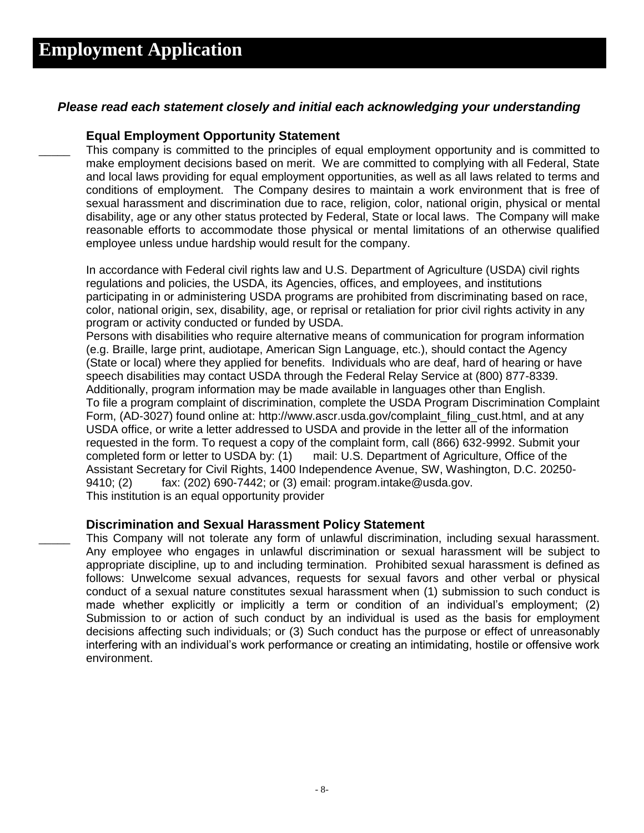#### *Please read each statement closely and initial each acknowledging your understanding*

#### **Equal Employment Opportunity Statement**

This company is committed to the principles of equal employment opportunity and is committed to make employment decisions based on merit. We are committed to complying with all Federal, State and local laws providing for equal employment opportunities, as well as all laws related to terms and conditions of employment. The Company desires to maintain a work environment that is free of sexual harassment and discrimination due to race, religion, color, national origin, physical or mental disability, age or any other status protected by Federal, State or local laws. The Company will make reasonable efforts to accommodate those physical or mental limitations of an otherwise qualified employee unless undue hardship would result for the company.

In accordance with Federal civil rights law and U.S. Department of Agriculture (USDA) civil rights regulations and policies, the USDA, its Agencies, offices, and employees, and institutions participating in or administering USDA programs are prohibited from discriminating based on race, color, national origin, sex, disability, age, or reprisal or retaliation for prior civil rights activity in any program or activity conducted or funded by USDA.

Persons with disabilities who require alternative means of communication for program information (e.g. Braille, large print, audiotape, American Sign Language, etc.), should contact the Agency (State or local) where they applied for benefits. Individuals who are deaf, hard of hearing or have speech disabilities may contact USDA through the Federal Relay Service at (800) 877-8339. Additionally, program information may be made available in languages other than English. To file a program complaint of discrimination, complete the [USDA Program Discrimination Complaint](http://www.ocio.usda.gov/sites/default/files/docs/2012/Complain_combined_6_8_12.pdf)  [Form,](http://www.ocio.usda.gov/sites/default/files/docs/2012/Complain_combined_6_8_12.pdf) (AD-3027) found online at: [http://www.ascr.usda.gov/complaint\\_filing\\_cust.html,](http://www.ascr.usda.gov/complaint_filing_cust.html) and at any USDA office, or write a letter addressed to USDA and provide in the letter all of the information requested in the form. To request a copy of the complaint form, call (866) 632-9992. Submit your completed form or letter to USDA by: (1) mail: U.S. Department of Agriculture, Office of the Assistant Secretary for Civil Rights, 1400 Independence Avenue, SW, Washington, D.C. 20250- 9410; (2) fax: (202) 690-7442; or (3) email: program.intake@usda.gov. This institution is an equal opportunity provider

#### **Discrimination and Sexual Harassment Policy Statement**

This Company will not tolerate any form of unlawful discrimination, including sexual harassment. Any employee who engages in unlawful discrimination or sexual harassment will be subject to appropriate discipline, up to and including termination. Prohibited sexual harassment is defined as follows: Unwelcome sexual advances, requests for sexual favors and other verbal or physical conduct of a sexual nature constitutes sexual harassment when (1) submission to such conduct is made whether explicitly or implicitly a term or condition of an individual's employment; (2) Submission to or action of such conduct by an individual is used as the basis for employment decisions affecting such individuals; or (3) Such conduct has the purpose or effect of unreasonably interfering with an individual's work performance or creating an intimidating, hostile or offensive work environment.